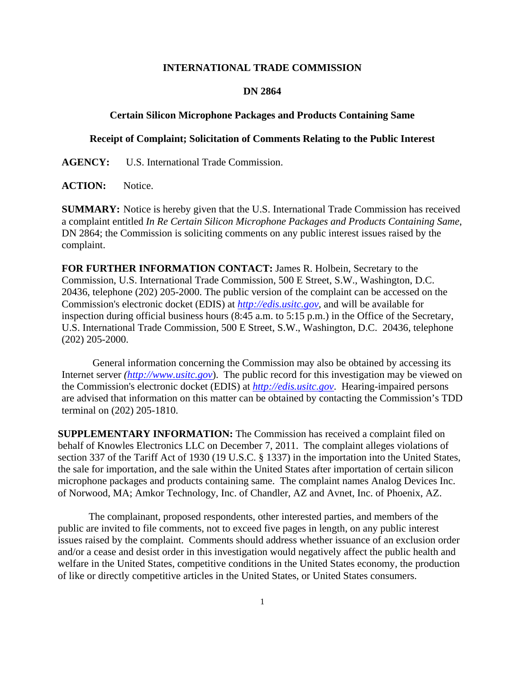## **INTERNATIONAL TRADE COMMISSION**

## **DN 2864**

## **Certain Silicon Microphone Packages and Products Containing Same**

## **Receipt of Complaint; Solicitation of Comments Relating to the Public Interest**

**AGENCY:** U.S. International Trade Commission.

ACTION: Notice.

**SUMMARY:** Notice is hereby given that the U.S. International Trade Commission has received a complaint entitled *In Re Certain Silicon Microphone Packages and Products Containing Same*, DN 2864; the Commission is soliciting comments on any public interest issues raised by the complaint.

**FOR FURTHER INFORMATION CONTACT:** James R. Holbein, Secretary to the Commission, U.S. International Trade Commission, 500 E Street, S.W., Washington, D.C. 20436, telephone (202) 205-2000. The public version of the complaint can be accessed on the Commission's electronic docket (EDIS) at *http://edis.usitc.gov*, and will be available for inspection during official business hours (8:45 a.m. to 5:15 p.m.) in the Office of the Secretary, U.S. International Trade Commission, 500 E Street, S.W., Washington, D.C. 20436, telephone (202) 205-2000.

General information concerning the Commission may also be obtained by accessing its Internet server *(http://www.usitc.gov*). The public record for this investigation may be viewed on the Commission's electronic docket (EDIS) at *http://edis.usitc.gov*. Hearing-impaired persons are advised that information on this matter can be obtained by contacting the Commission's TDD terminal on (202) 205-1810.

**SUPPLEMENTARY INFORMATION:** The Commission has received a complaint filed on behalf of Knowles Electronics LLC on December 7, 2011. The complaint alleges violations of section 337 of the Tariff Act of 1930 (19 U.S.C. § 1337) in the importation into the United States, the sale for importation, and the sale within the United States after importation of certain silicon microphone packages and products containing same. The complaint names Analog Devices Inc. of Norwood, MA; Amkor Technology, Inc. of Chandler, AZ and Avnet, Inc. of Phoenix, AZ.

 The complainant, proposed respondents, other interested parties, and members of the public are invited to file comments, not to exceed five pages in length, on any public interest issues raised by the complaint. Comments should address whether issuance of an exclusion order and/or a cease and desist order in this investigation would negatively affect the public health and welfare in the United States, competitive conditions in the United States economy, the production of like or directly competitive articles in the United States, or United States consumers.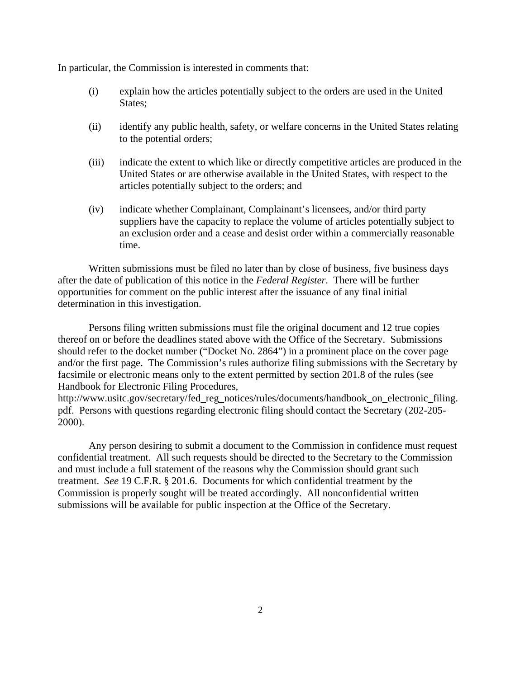In particular, the Commission is interested in comments that:

- (i) explain how the articles potentially subject to the orders are used in the United States;
- (ii) identify any public health, safety, or welfare concerns in the United States relating to the potential orders;
- (iii) indicate the extent to which like or directly competitive articles are produced in the United States or are otherwise available in the United States, with respect to the articles potentially subject to the orders; and
- (iv) indicate whether Complainant, Complainant's licensees, and/or third party suppliers have the capacity to replace the volume of articles potentially subject to an exclusion order and a cease and desist order within a commercially reasonable time.

 Written submissions must be filed no later than by close of business, five business days after the date of publication of this notice in the *Federal Register*. There will be further opportunities for comment on the public interest after the issuance of any final initial determination in this investigation.

 Persons filing written submissions must file the original document and 12 true copies thereof on or before the deadlines stated above with the Office of the Secretary. Submissions should refer to the docket number ("Docket No. 2864") in a prominent place on the cover page and/or the first page. The Commission's rules authorize filing submissions with the Secretary by facsimile or electronic means only to the extent permitted by section 201.8 of the rules (see Handbook for Electronic Filing Procedures,

http://www.usitc.gov/secretary/fed\_reg\_notices/rules/documents/handbook\_on\_electronic\_filing. pdf. Persons with questions regarding electronic filing should contact the Secretary (202-205- 2000).

 Any person desiring to submit a document to the Commission in confidence must request confidential treatment. All such requests should be directed to the Secretary to the Commission and must include a full statement of the reasons why the Commission should grant such treatment. *See* 19 C.F.R. § 201.6. Documents for which confidential treatment by the Commission is properly sought will be treated accordingly. All nonconfidential written submissions will be available for public inspection at the Office of the Secretary.